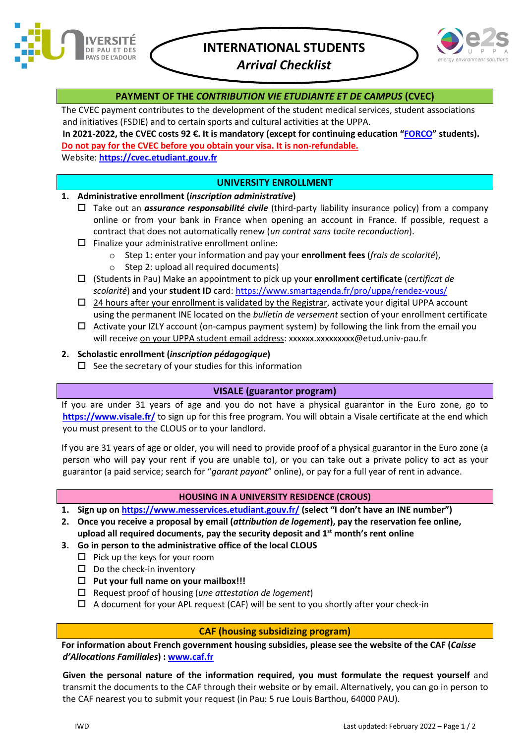

# **INTERNATIONAL STUDENTS**

*Arrival Checklist*



## **PAYMENT OF THE** *CONTRIBUTION VIE ETUDIANTE ET DE CAMPUS* **(CVEC)**

The CVEC payment contributes to the development of the student medical services, student associations and initiatives (FSDIE) and to certain sports and cultural activities at the UPPA.

**In 2021-2022, the CVEC costs 92 €. It is mandatory (except for continuing education ["FORCO"](https://forco.univ-pau.fr/) students). Do not pay for the CVEC before you obtain your visa. It is non-refundable.**

Website: **[https://cvec.etudiant.gouv.fr](https://cvec.etudiant.gouv.fr/)**

## **UNIVERSITY ENROLLMENT**

## **1. Administrative enrollment (***inscription administrative***)**

- Take out an *assurance responsabilité civile* (third-party liability insurance policy) from a company online or from your bank in France when opening an account in France. If possible, request a contract that does not automatically renew (*un contrat sans tacite reconduction*).
- $\square$  Finalize your administrative enrollment online:
	- o Step 1: enter your information and pay your **enrollment fees** (*frais de scolarité*),
	- $\circ$  Step 2: upload all required documents)
- (Students in Pau) Make an appointment to pick up your **enrollment certificate** (*certificat de scolarité*) and your **student ID** card[: https://www.smartagenda.fr/pro/uppa/rendez-vous/](https://www.smartagenda.fr/pro/uppa/rendez-vous/)
- $\Box$  24 hours after your enrollment is validated by the Registrar, activate your digital UPPA account using the permanent INE located on the *bulletin de versement* section of your enrollment certificate
- $\Box$  Activate your IZLY account (on-campus payment system) by following the link from the email you will receive on your UPPA student email address: xxxxxx.xxxxxxxxx@etud.univ-pau.fr
- **2. Scholastic enrollment (***inscription pédagogique***)**
	- $\square$  See the secretary of your studies for this information

### **VISALE (guarantor program)**

If you are under 31 years of age and you do not have a physical guarantor in the Euro zone, go to **<https://www.visale.fr/>** to sign up for this free program. You will obtain a Visale certificate at the end which you must present to the CLOUS or to your landlord.

If you are 31 years of age or older, you will need to provide proof of a physical guarantor in the Euro zone (a person who will pay your rent if you are unable to), or you can take out a private policy to act as your guarantor (a paid service; search for "*garant payant*" online), or pay for a full year of rent in advance.

### **HOUSING IN A UNIVERSITY RESIDENCE (CROUS)**

- **1. Sign up on<https://www.messervices.etudiant.gouv.fr/> (select "I don't have an INE number")**
- **2. Once you receive a proposal by email (***attribution de logement***), pay the reservation fee online, upload all required documents, pay the security deposit and 1st month's rent online**
- **3. Go in person to the administrative office of the local CLOUS**
	- $\Box$  Pick up the keys for your room
	- $\square$  Do the check-in inventory
	- **Put your full name on your mailbox!!!**
	- Request proof of housing (*une attestation de logement*)
	- $\Box$  A document for your APL request (CAF) will be sent to you shortly after your check-in

## **CAF (housing subsidizing program)**

**For information about French government housing subsidies, please see the website of the CAF (***Caisse d'Allocations Familiales***) : [www.caf.fr](http://www.caf.fr/)**

**Given the personal nature of the information required, you must formulate the request yourself** and transmit the documents to the CAF through their website or by email. Alternatively, you can go in person to the CAF nearest you to submit your request (in Pau: 5 rue Louis Barthou, 64000 PAU).